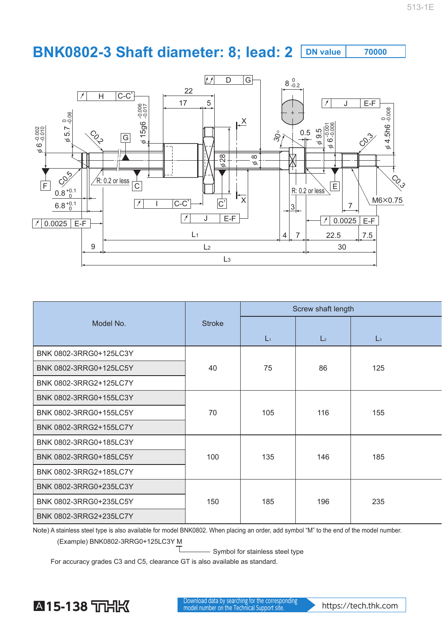## **BNK0802-3 Shaft diameter: 8; lead: 2 DN value 70000**



|                        |               | Screw shaft length |                  |                |  |
|------------------------|---------------|--------------------|------------------|----------------|--|
| Model No.              | <b>Stroke</b> |                    |                  |                |  |
|                        |               | $L_1$              | $\mathsf{L}_{2}$ | $\mathsf{L}_3$ |  |
| BNK 0802-3RRG0+125LC3Y |               | 75                 | 86               |                |  |
| BNK 0802-3RRG0+125LC5Y | 40            |                    |                  | 125            |  |
| BNK 0802-3RRG2+125LC7Y |               |                    |                  |                |  |
| BNK 0802-3RRG0+155LC3Y | 70            | 105                | 116              |                |  |
| BNK 0802-3RRG0+155LC5Y |               |                    |                  | 155            |  |
| BNK 0802-3RRG2+155LC7Y |               |                    |                  |                |  |
| BNK 0802-3RRG0+185LC3Y |               |                    |                  |                |  |
| BNK 0802-3RRG0+185LC5Y | 100           | 135                | 146              | 185            |  |
| BNK 0802-3RRG2+185LC7Y |               |                    |                  |                |  |
| BNK 0802-3RRG0+235LC3Y |               |                    |                  |                |  |
| BNK 0802-3RRG0+235LC5Y | 150           | 185                | 196              | 235            |  |
| BNK 0802-3RRG2+235LC7Y |               |                    |                  |                |  |

Note) A stainless steel type is also available for model BNK0802. When placing an order, add symbol "M" to the end of the model number.

(Example) BNK0802-3RRG0+125LC3Y M

- Symbol for stainless steel type

For accuracy grades C3 and C5, clearance GT is also available as standard.



**A 15-138** THK **Manufacture Conversion and A** Download data by searching for the corresponding Download data by searching for the corresponding<br>model number on the Technical Support site.<br>https://tech.thk.com